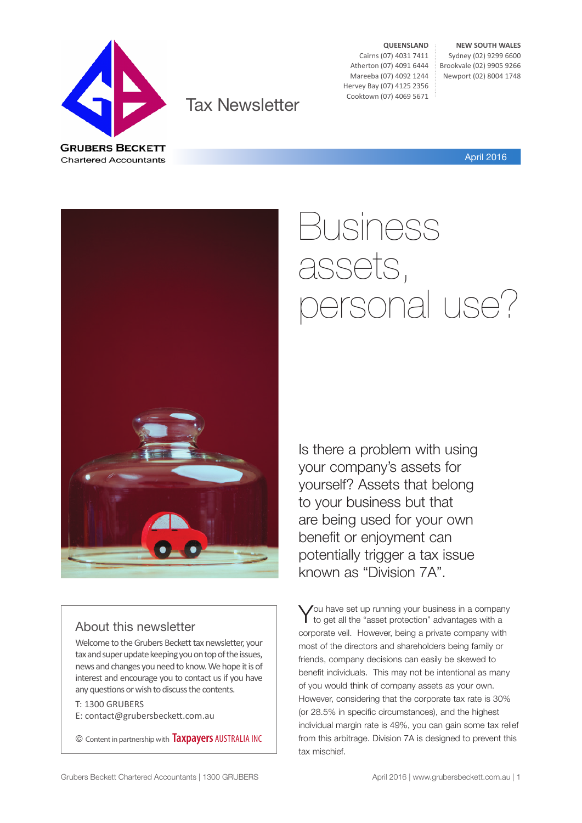

Tax Newsletter

**QUEENSLAND** Cairns (07) 4031 7411 Atherton (07) 4091 6444 Mareeba (07) 4092 1244 Hervey Bay (07) 4125 2356 Cooktown (07) 4069 5671

**NEW SOUTH WALES** Sydney (02) 9299 6600 Brookvale (02) 9905 9266 Newport (02) 8004 1748

April 2016

### About this newsletter

Welcome to the Grubers Beckett tax newsletter, your tax and super update keeping you on top of the issues, news and changes you need to know. We hope it is of interest and encourage you to contact us if you have any questions or wish to discuss the contents.

T: 1300 GRUBERS E: contact@grubersbeckett.com.au

© Content in partnership with **Taxpayers** AUSTRALIA INC

# Business assets, personal use?

Is there a problem with using your company's assets for yourself? Assets that belong to your business but that are being used for your own benefit or enjoyment can potentially trigger a tax issue known as "Division 7A".

You have set up running your business in a company<br>to get all the "asset protection" advantages with a corporate veil. However, being a private company with most of the directors and shareholders being family or friends, company decisions can easily be skewed to benefit individuals. This may not be intentional as many of you would think of company assets as your own. However, considering that the corporate tax rate is 30% (or 28.5% in specific circumstances), and the highest individual margin rate is 49%, you can gain some tax relief from this arbitrage. Division 7A is designed to prevent this tax mischief.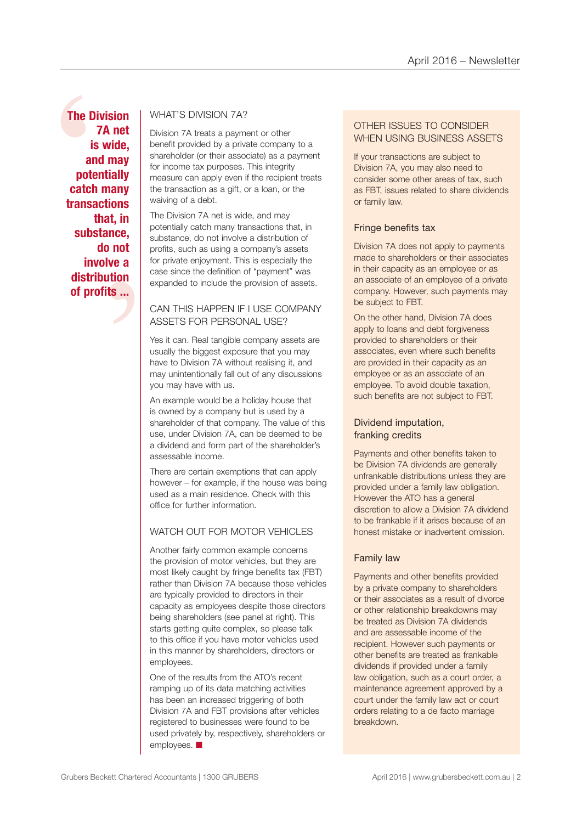The Diver<br>
7<br>
is<br>
and<br>
poter<br>
catch<br>
transad<br>
th<br>
subst t, in<br>
nce,<br>
not<br>
ve a<br>
tion<br>
is ... **The Division 7A net is wide, and may potentially catch many transactions that, in substance, do not involve a distribution of profits ...**

### WHAT'S DIVISION 7A?

Division 7A treats a payment or other benefit provided by a private company to a shareholder (or their associate) as a payment for income tax purposes. This integrity measure can apply even if the recipient treats the transaction as a gift, or a loan, or the waiving of a debt.

The Division 7A net is wide, and may potentially catch many transactions that, in substance, do not involve a distribution of profits, such as using a company's assets for private enjoyment. This is especially the case since the definition of "payment" was expanded to include the provision of assets.

### CAN THIS HAPPEN IF I USE COMPANY ASSETS FOR PERSONAL USE?

Yes it can. Real tangible company assets are usually the biggest exposure that you may have to Division 7A without realising it, and may unintentionally fall out of any discussions you may have with us.

An example would be a holiday house that is owned by a company but is used by a shareholder of that company. The value of this use, under Division 7A, can be deemed to be a dividend and form part of the shareholder's assessable income.

There are certain exemptions that can apply however – for example, if the house was being used as a main residence. Check with this office for further information.

### WATCH OUT FOR MOTOR VEHICLES

Another fairly common example concerns the provision of motor vehicles, but they are most likely caught by fringe benefits tax (FBT) rather than Division 7A because those vehicles are typically provided to directors in their capacity as employees despite those directors being shareholders (see panel at right). This starts getting quite complex, so please talk to this office if you have motor vehicles used in this manner by shareholders, directors or employees.

One of the results from the ATO's recent ramping up of its data matching activities has been an increased triggering of both Division 7A and FBT provisions after vehicles registered to businesses were found to be used privately by, respectively, shareholders or employees.  $\blacksquare$ 

### OTHER ISSUES TO CONSIDER WHEN USING BUSINESS ASSETS

If your transactions are subject to Division 7A, you may also need to consider some other areas of tax, such as FBT, issues related to share dividends or family law.

### Fringe benefits tax

Division 7A does not apply to payments made to shareholders or their associates in their capacity as an employee or as an associate of an employee of a private company. However, such payments may be subject to FBT.

On the other hand, Division 7A does apply to loans and debt forgiveness provided to shareholders or their associates, even where such benefits are provided in their capacity as an employee or as an associate of an employee. To avoid double taxation, such benefits are not subject to FBT.

### Dividend imputation, franking credits

Payments and other benefits taken to be Division 7A dividends are generally unfrankable distributions unless they are provided under a family law obligation. However the ATO has a general discretion to allow a Division 7A dividend to be frankable if it arises because of an honest mistake or inadvertent omission.

### Family law

Payments and other benefits provided by a private company to shareholders or their associates as a result of divorce or other relationship breakdowns may be treated as Division 7A dividends and are assessable income of the recipient. However such payments or other benefits are treated as frankable dividends if provided under a family law obligation, such as a court order, a maintenance agreement approved by a court under the family law act or court orders relating to a de facto marriage breakdown.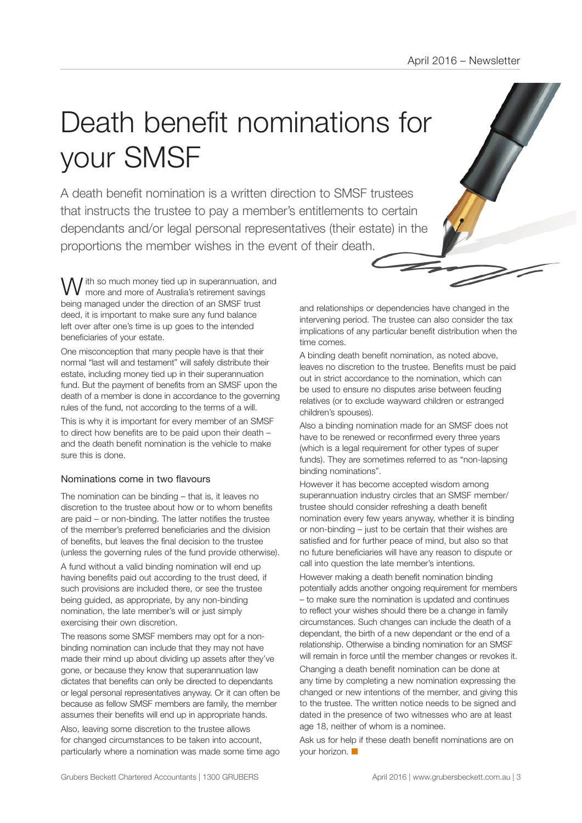## Death benefit nominations for your SMSF

A death benefit nomination is a written direction to SMSF trustees that instructs the trustee to pay a member's entitlements to certain dependants and/or legal personal representatives (their estate) in the proportions the member wishes in the event of their death.

I ith so much money tied up in superannuation, and more and more of Australia's retirement savings being managed under the direction of an SMSF trust deed, it is important to make sure any fund balance left over after one's time is up goes to the intended beneficiaries of your estate.

One misconception that many people have is that their normal "last will and testament" will safely distribute their estate, including money tied up in their superannuation fund. But the payment of benefits from an SMSF upon the death of a member is done in accordance to the governing rules of the fund, not according to the terms of a will.

This is why it is important for every member of an SMSF to direct how benefits are to be paid upon their death – and the death benefit nomination is the vehicle to make sure this is done.

### Nominations come in two flavours

The nomination can be binding – that is, it leaves no discretion to the trustee about how or to whom benefits are paid – or non-binding. The latter notifies the trustee of the member's preferred beneficiaries and the division of benefits, but leaves the final decision to the trustee (unless the governing rules of the fund provide otherwise).

A fund without a valid binding nomination will end up having benefits paid out according to the trust deed, if such provisions are included there, or see the trustee being guided, as appropriate, by any non-binding nomination, the late member's will or just simply exercising their own discretion.

The reasons some SMSF members may opt for a nonbinding nomination can include that they may not have made their mind up about dividing up assets after they've gone, or because they know that superannuation law dictates that benefits can only be directed to dependants or legal personal representatives anyway. Or it can often be because as fellow SMSF members are family, the member assumes their benefits will end up in appropriate hands.

Also, leaving some discretion to the trustee allows for changed circumstances to be taken into account, particularly where a nomination was made some time ago and relationships or dependencies have changed in the intervening period. The trustee can also consider the tax implications of any particular benefit distribution when the time comes.

A binding death benefit nomination, as noted above, leaves no discretion to the trustee. Benefits must be paid out in strict accordance to the nomination, which can be used to ensure no disputes arise between feuding relatives (or to exclude wayward children or estranged children's spouses).

Also a binding nomination made for an SMSF does not have to be renewed or reconfirmed every three years (which is a legal requirement for other types of super funds). They are sometimes referred to as "non-lapsing binding nominations".

However it has become accepted wisdom among superannuation industry circles that an SMSF member/ trustee should consider refreshing a death benefit nomination every few years anyway, whether it is binding or non-binding – just to be certain that their wishes are satisfied and for further peace of mind, but also so that no future beneficiaries will have any reason to dispute or call into question the late member's intentions.

However making a death benefit nomination binding potentially adds another ongoing requirement for members – to make sure the nomination is updated and continues to reflect your wishes should there be a change in family circumstances. Such changes can include the death of a dependant, the birth of a new dependant or the end of a relationship. Otherwise a binding nomination for an SMSF will remain in force until the member changes or revokes it.

Changing a death benefit nomination can be done at any time by completing a new nomination expressing the changed or new intentions of the member, and giving this to the trustee. The written notice needs to be signed and dated in the presence of two witnesses who are at least age 18, neither of whom is a nominee.

Ask us for help if these death benefit nominations are on your horizon.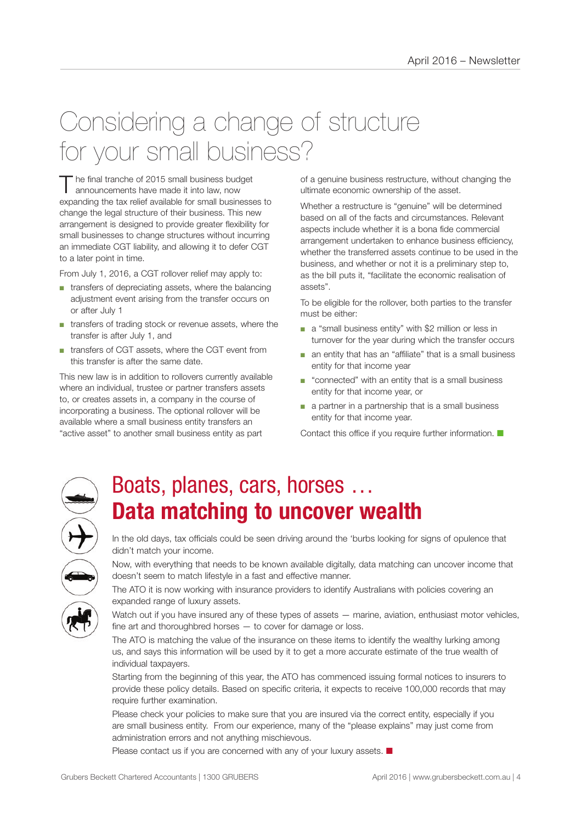## Considering a change of structure for your small business?

The final tranche of 2015 small business budget<br>announcements have made it into law, now expanding the tax relief available for small businesses to change the legal structure of their business. This new arrangement is designed to provide greater flexibility for small businesses to change structures without incurring an immediate CGT liability, and allowing it to defer CGT to a later point in time.

From July 1, 2016, a CGT rollover relief may apply to:

- transfers of depreciating assets, where the balancing adjustment event arising from the transfer occurs on or after July 1
- transfers of trading stock or revenue assets, where the transfer is after July 1, and
- transfers of CGT assets, where the CGT event from this transfer is after the same date.

This new law is in addition to rollovers currently available where an individual, trustee or partner transfers assets to, or creates assets in, a company in the course of incorporating a business. The optional rollover will be available where a small business entity transfers an "active asset" to another small business entity as part

of a genuine business restructure, without changing the ultimate economic ownership of the asset.

Whether a restructure is "genuine" will be determined based on all of the facts and circumstances. Relevant aspects include whether it is a bona fide commercial arrangement undertaken to enhance business efficiency, whether the transferred assets continue to be used in the business, and whether or not it is a preliminary step to, as the bill puts it, "facilitate the economic realisation of assets".

To be eligible for the rollover, both parties to the transfer must be either:

- a "small business entity" with \$2 million or less in turnover for the year during which the transfer occurs
- an entity that has an "affiliate" that is a small business entity for that income year
- "connected" with an entity that is a small business entity for that income year, or
- a partner in a partnership that is a small business entity for that income year.

Contact this office if you require further information.  $\blacksquare$ 



### Boats, planes, cars, horses … **Data matching to uncover wealth**

In the old days, tax officials could be seen driving around the 'burbs looking for signs of opulence that didn't match your income.

Now, with everything that needs to be known available digitally, data matching can uncover income that doesn't seem to match lifestyle in a fast and effective manner.

The ATO it is now working with insurance providers to identify Australians with policies covering an expanded range of luxury assets.

Watch out if you have insured any of these types of assets — marine, aviation, enthusiast motor vehicles, fine art and thoroughbred horses — to cover for damage or loss.

The ATO is matching the value of the insurance on these items to identify the wealthy lurking among us, and says this information will be used by it to get a more accurate estimate of the true wealth of individual taxpayers.

Starting from the beginning of this year, the ATO has commenced issuing formal notices to insurers to provide these policy details. Based on specific criteria, it expects to receive 100,000 records that may require further examination.

Please check your policies to make sure that you are insured via the correct entity, especially if you are small business entity. From our experience, many of the "please explains" may just come from administration errors and not anything mischievous.

Please contact us if you are concerned with any of your luxury assets.  $\blacksquare$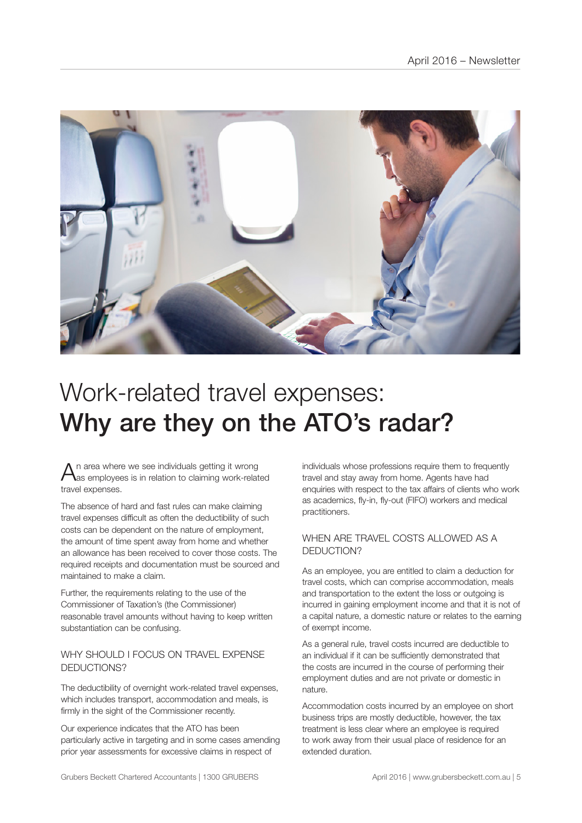

### Work-related travel expenses: Why are they on the ATO's radar?

 $A$ n area where we see individuals getting it wrong<br>Aas employees is in relation to claiming work-related travel expenses.

The absence of hard and fast rules can make claiming travel expenses difficult as often the deductibility of such costs can be dependent on the nature of employment, the amount of time spent away from home and whether an allowance has been received to cover those costs. The required receipts and documentation must be sourced and maintained to make a claim.

Further, the requirements relating to the use of the Commissioner of Taxation's (the Commissioner) reasonable travel amounts without having to keep written substantiation can be confusing.

### WHY SHOULD LEOCUS ON TRAVEL EXPENSE DEDUCTIONS?

The deductibility of overnight work-related travel expenses, which includes transport, accommodation and meals, is firmly in the sight of the Commissioner recently.

Our experience indicates that the ATO has been particularly active in targeting and in some cases amending prior year assessments for excessive claims in respect of

individuals whose professions require them to frequently travel and stay away from home. Agents have had enquiries with respect to the tax affairs of clients who work as academics, fly-in, fly-out (FIFO) workers and medical practitioners.

### WHEN ARE TRAVEL COSTS ALLOWED AS A DEDUCTION?

As an employee, you are entitled to claim a deduction for travel costs, which can comprise accommodation, meals and transportation to the extent the loss or outgoing is incurred in gaining employment income and that it is not of a capital nature, a domestic nature or relates to the earning of exempt income.

As a general rule, travel costs incurred are deductible to an individual if it can be sufficiently demonstrated that the costs are incurred in the course of performing their employment duties and are not private or domestic in nature.

Accommodation costs incurred by an employee on short business trips are mostly deductible, however, the tax treatment is less clear where an employee is required to work away from their usual place of residence for an extended duration.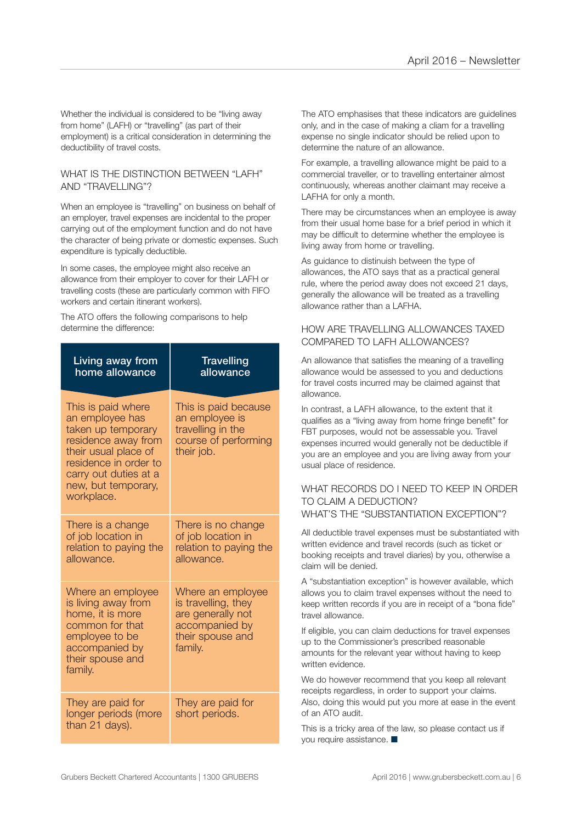Whether the individual is considered to be "living away from home" (LAFH) or "travelling" (as part of their employment) is a critical consideration in determining the deductibility of travel costs.

#### WHAT IS THE DISTINCTION BETWEEN "I AFH" AND "TRAVELLING"?

When an employee is "travelling" on business on behalf of an employer, travel expenses are incidental to the proper carrying out of the employment function and do not have the character of being private or domestic expenses. Such expenditure is typically deductible.

In some cases, the employee might also receive an allowance from their employer to cover for their LAFH or travelling costs (these are particularly common with FIFO workers and certain itinerant workers).

The ATO offers the following comparisons to help determine the difference:

| Living away from<br>home allowance                                                                                                                                                                | <b>Travelling</b><br>allowance                                                                                 |
|---------------------------------------------------------------------------------------------------------------------------------------------------------------------------------------------------|----------------------------------------------------------------------------------------------------------------|
| This is paid where<br>an employee has<br>taken up temporary<br>residence away from<br>their usual place of<br>residence in order to<br>carry out duties at a<br>new, but temporary,<br>workplace. | This is paid because<br>an employee is<br>travelling in the<br>course of performing<br>their job.              |
| There is a change<br>of job location in<br>relation to paying the<br>allowance.                                                                                                                   | There is no change<br>of job location in<br>relation to paying the<br>allowance.                               |
| Where an employee<br>is living away from<br>home, it is more<br>common for that<br>employee to be<br>accompanied by<br>their spouse and<br>family.                                                | Where an employee<br>is travelling, they<br>are generally not<br>accompanied by<br>their spouse and<br>family. |
| They are paid for<br>longer periods (more<br>than 21 days).                                                                                                                                       | They are paid for<br>short periods.                                                                            |

The ATO emphasises that these indicators are guidelines only, and in the case of making a cliam for a travelling expense no single indicator should be relied upon to determine the nature of an allowance.

For example, a travelling allowance might be paid to a commercial traveller, or to travelling entertainer almost continuously, whereas another claimant may receive a LAFHA for only a month.

There may be circumstances when an employee is away from their usual home base for a brief period in which it may be difficult to determine whether the employee is living away from home or travelling.

As guidance to distinuish between the type of allowances, the ATO says that as a practical general rule, where the period away does not exceed 21 days, generally the allowance will be treated as a travelling allowance rather than a LAFHA.

### HOW ARE TRAVELLING ALLOWANCES TAXED. COMPARED TO LAFH ALLOWANCES?

An allowance that satisfies the meaning of a travelling allowance would be assessed to you and deductions for travel costs incurred may be claimed against that allowance.

In contrast, a LAFH allowance, to the extent that it qualifies as a "living away from home fringe benefit" for FBT purposes, would not be assessable you. Travel expenses incurred would generally not be deductible if you are an employee and you are living away from your usual place of residence.

#### WHAT RECORDS DO I NEED TO KEEP IN ORDER TO CLAIM A DEDUCTION? WHAT'S THE "SUBSTANTIATION EXCEPTION"?

All deductible travel expenses must be substantiated with written evidence and travel records (such as ticket or booking receipts and travel diaries) by you, otherwise a claim will be denied.

A "substantiation exception" is however available, which allows you to claim travel expenses without the need to keep written records if you are in receipt of a "bona fide" travel allowance.

If eligible, you can claim deductions for travel expenses up to the Commissioner's prescribed reasonable amounts for the relevant year without having to keep written evidence.

We do however recommend that you keep all relevant receipts regardless, in order to support your claims. Also, doing this would put you more at ease in the event of an ATO audit.

This is a tricky area of the law, so please contact us if you require assistance.  $\blacksquare$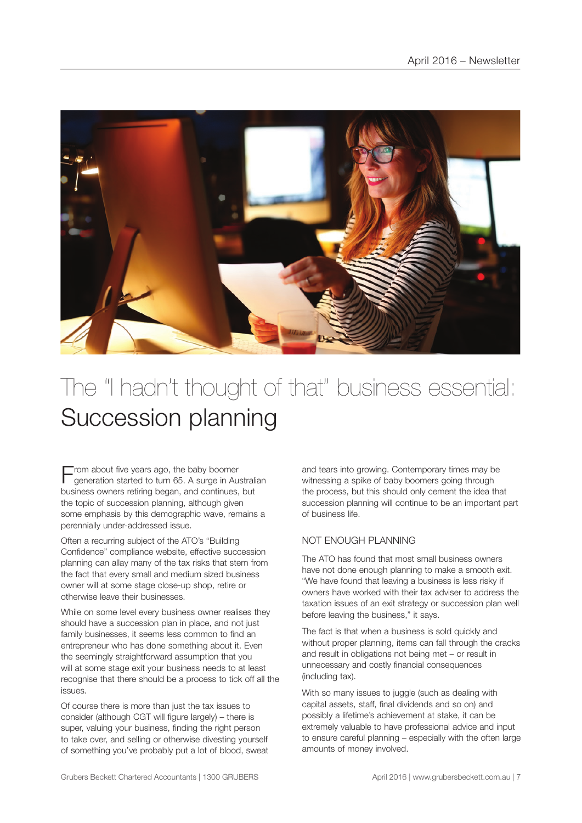

### The "I hadn't thought of that" business essential: Succession planning

 $\blacksquare$  rom about five years ago, the baby boomer generation started to turn 65. A surge in Australian business owners retiring began, and continues, but the topic of succession planning, although given some emphasis by this demographic wave, remains a perennially under-addressed issue.

Often a recurring subject of the ATO's "Building Confidence" compliance website, effective succession planning can allay many of the tax risks that stem from the fact that every small and medium sized business owner will at some stage close-up shop, retire or otherwise leave their businesses.

While on some level every business owner realises they should have a succession plan in place, and not just family businesses, it seems less common to find an entrepreneur who has done something about it. Even the seemingly straightforward assumption that you will at some stage exit your business needs to at least recognise that there should be a process to tick off all the issues.

Of course there is more than just the tax issues to consider (although CGT will figure largely) – there is super, valuing your business, finding the right person to take over, and selling or otherwise divesting yourself of something you've probably put a lot of blood, sweat

and tears into growing. Contemporary times may be witnessing a spike of baby boomers going through the process, but this should only cement the idea that succession planning will continue to be an important part of business life.

### NOT ENOUGH PLANNING

The ATO has found that most small business owners have not done enough planning to make a smooth exit. "We have found that leaving a business is less risky if owners have worked with their tax adviser to address the taxation issues of an exit strategy or succession plan well before leaving the business," it says.

The fact is that when a business is sold quickly and without proper planning, items can fall through the cracks and result in obligations not being met – or result in unnecessary and costly financial consequences (including tax).

With so many issues to juggle (such as dealing with capital assets, staff, final dividends and so on) and possibly a lifetime's achievement at stake, it can be extremely valuable to have professional advice and input to ensure careful planning – especially with the often large amounts of money involved.